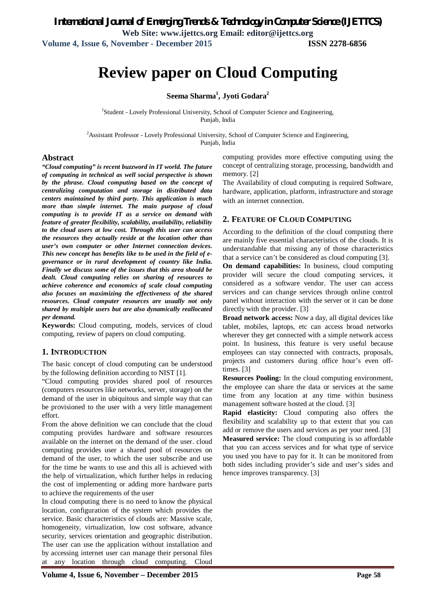# **Review paper on Cloud Computing**

### **Seema Sharma<sup>1</sup> , Jyoti Godara<sup>2</sup>**

<sup>1</sup>Student - Lovely Professional University, School of Computer Science and Engineering, Punjab, India

<sup>2</sup>Assistant Professor - Lovely Professional University, School of Computer Science and Engineering, Punjab, India

#### **Abstract**

*"Cloud computing" is recent buzzword in IT world. The future of computing in technical as well social perspective is shown by the phrase. Cloud computing based on the concept of centralizing computation and storage in distributed data centers maintained by third party. This application is much more than simple internet. The main purpose of cloud computing is to provide IT as a service on demand with feature of greater flexibility, scalability, availability, reliability to the cloud users at low cost. Through this user can access the resources they actually reside at the location other than user's own computer or other Internet connection devices. This new concept has benefits like to be used in the field of egovernance or in rural development of country like India. Finally we discuss some of the issues that this area should be dealt. Cloud computing relies on sharing of resources to achieve coherence and economics of scale cloud computing also focuses on maximizing the effectiveness of the shared resources. Cloud computer resources are usually not only shared by multiple users but are also dynamically reallocated per demand.* 

**Keywords:** Cloud computing, models, services of cloud computing, review of papers on cloud computing.

#### **1. INTRODUCTION**

The basic concept of cloud computing can be understood by the following definition according to NIST [1].

"Cloud computing provides shared pool of resources (computers resources like networks, server, storage) on the demand of the user in ubiquitous and simple way that can be provisioned to the user with a very little management effort.

From the above definition we can conclude that the cloud computing provides hardware and software resources available on the internet on the demand of the user. cloud computing provides user a shared pool of resources on demand of the user, to which the user subscribe and use for the time he wants to use and this all is achieved with the help of virtualization, which further helps in reducing the cost of implementing or adding more hardware parts to achieve the requirements of the user

In cloud computing there is no need to know the physical location, configuration of the system which provides the service. Basic characteristics of clouds are: Massive scale, homogeneity, virtualization, low cost software, advance security, services orientation and geographic distribution. The user can use the application without installation and by accessing internet user can manage their personal files at any location through cloud computing. Cloud

computing provides more effective computing using the concept of centralizing storage, processing, bandwidth and memory. [2]

The Availability of cloud computing is required Software, hardware, application, platform, infrastructure and storage with an internet connection.

#### **2. FEATURE OF CLOUD COMPUTING**

According to the definition of the cloud computing there are mainly five essential characteristics of the clouds. It is understandable that missing any of those characteristics that a service can't be considered as cloud computing [3].

**On demand capabilities:** In business, cloud computing provider will secure the cloud computing services, it considered as a software vendor. The user can access services and can change services through online control panel without interaction with the server or it can be done directly with the provider. [3]

**Broad network access:** Now a day, all digital devices like tablet, mobiles, laptops, etc can access broad networks wherever they get connected with a simple network access point. In business, this feature is very useful because employees can stay connected with contracts, proposals, projects and customers during office hour's even offtimes. [3]

**Resources Pooling:** In the cloud computing environment, the employee can share the data or services at the same time from any location at any time within business management software hosted at the cloud. [3]

**Rapid elasticity:** Cloud computing also offers the flexibility and scalability up to that extent that you can add or remove the users and services as per your need. [3] **Measured service:** The cloud computing is so affordable that you can access services and for what type of service you used you have to pay for it. It can be monitored from both sides including provider's side and user's sides and

hence improves transparency. [3]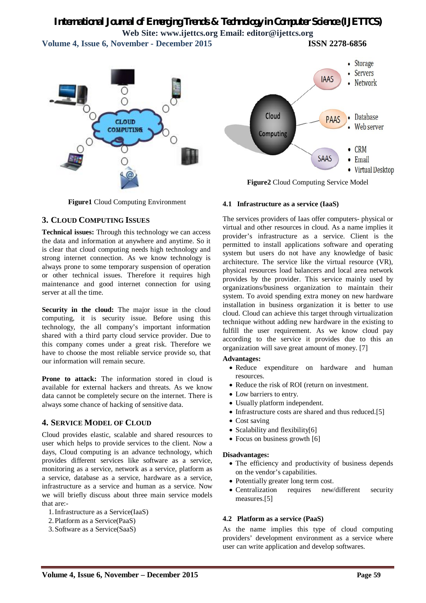# *International Journal of Emerging Trends & Technology in Computer Science (IJETTCS)* **Web Site: www.ijettcs.org Email: editor@ijettcs.org**

**Volume 4, Issue 6, November - December 2015 ISSN 2278-6856**



**Figure1** Cloud Computing Environment

## **3. CLOUD COMPUTING ISSUES**

**Technical issues:** Through this technology we can access the data and information at anywhere and anytime. So it is clear that cloud computing needs high technology and strong internet connection. As we know technology is always prone to some temporary suspension of operation or other technical issues. Therefore it requires high maintenance and good internet connection for using server at all the time.

**Security in the cloud:** The major issue in the cloud computing, it is security issue. Before using this technology, the all company's important information shared with a third party cloud service provider. Due to this company comes under a great risk. Therefore we have to choose the most reliable service provide so, that our information will remain secure.

**Prone to attack:** The information stored in cloud is available for external hackers and threats. As we know data cannot be completely secure on the internet. There is always some chance of hacking of sensitive data.

# **4. SERVICE MODEL OF CLOUD**

Cloud provides elastic, scalable and shared resources to user which helps to provide services to the client. Now a days, Cloud computing is an advance technology, which provides different services like software as a service, monitoring as a service, network as a service, platform as a service, database as a service, hardware as a service, infrastructure as a service and human as a service. Now we will briefly discuss about three main service models that are:-

- 1.Infrastructure as a Service(IaaS)
- 2.Platform as a Service(PaaS)
- 3.Software as a Service(SaaS)



**Figure2** Cloud Computing Service Model

#### **4.1 Infrastructure as a service (IaaS)**

The services providers of Iaas offer computers- physical or virtual and other resources in cloud. As a name implies it provider's infrastructure as a service. Client is the permitted to install applications software and operating system but users do not have any knowledge of basic architecture. The service like the virtual resource (VR), physical resources load balancers and local area network provides by the provider. This service mainly used by organizations/business organization to maintain their system. To avoid spending extra money on new hardware installation in business organization it is better to use cloud. Cloud can achieve this target through virtualization technique without adding new hardware in the existing to fulfill the user requirement. As we know cloud pay according to the service it provides due to this an organization will save great amount of money. [7]

#### **Advantages:**

- Reduce expenditure on hardware and human resources.
- Reduce the risk of ROI (return on investment.
- Low barriers to entry.
- Usually platform independent.
- Infrastructure costs are shared and thus reduced.[5]
- Cost saving
- Scalability and flexibility[6]
- Focus on business growth [6]

#### **Disadvantages:**

- The efficiency and productivity of business depends on the vendor's capabilities.
- Potentially greater long term cost.
- Centralization requires new/different security measures.[5]

#### **4.2 Platform as a service (PaaS)**

As the name implies this type of cloud computing providers' development environment as a service where user can write application and develop softwares.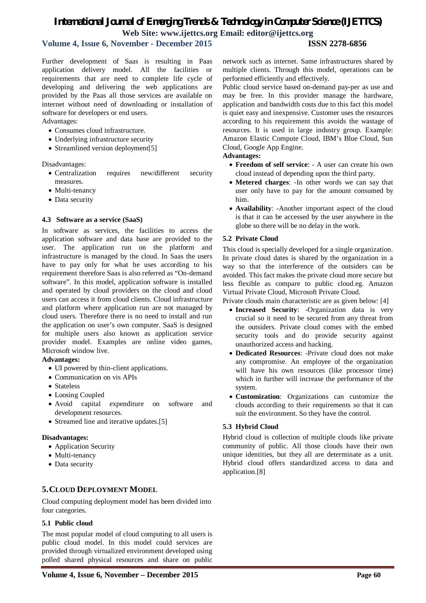# *International Journal of Emerging Trends & Technology in Computer Science (IJETTCS)* **Web Site: www.ijettcs.org Email: editor@ijettcs.org**

# **Volume 4, Issue 6, November - December 2015 ISSN 2278-6856**

### Further development of Saas is resulting in Paas application delivery model. All the facilities or requirements that are need to complete life cycle of developing and delivering the web applications are provided by the Paas all those services are available on

internet without need of downloading or installation of

- Underlying infrastructure security
- Streamlined version deployment[5]

software for developers or end users.

Consumes cloud infrastructure.

Disadvantages:

Advantages:

- Centralization requires new/different security measures.
- Multi-tenancy
- Data security

#### **4.3 Software as a service (SaaS)**

In software as services, the facilities to access the application software and data base are provided to the user. The application run on the platform and infrastructure is managed by the cloud. In Saas the users have to pay only for what he uses according to his requirement therefore Saas is also referred as "On-demand software". In this model, application software is installed and operated by cloud providers on the cloud and cloud users can access it from cloud clients. Cloud infrastructure and platform where application run are not managed by cloud users. Therefore there is no need to install and run the application on user's own computer. SaaS is designed for multiple users also known as application service provider model. Examples are online video games, Microsoft window live.

#### **Advantages:**

- UI powered by thin-client applications.
- Communication on vis APIs
- Stateless
- Loosing Coupled
- Avoid capital expenditure on software and development resources.
- Streamed line and iterative updates.[5]

#### **Disadvantages:**

- Application Security
- Multi-tenancy
- Data security

#### **5.CLOUD DEPLOYMENT MODEL**

Cloud computing deployment model has been divided into four categories.

#### **5.1 Public cloud**

The most popular model of cloud computing to all users is public cloud model. In this model could services are provided through virtualized environment developed using polled shared physical resources and share on public

Public cloud service based on-demand pay-per as use and may be free. In this provider manage the hardware, application and bandwidth costs due to this fact this model is quiet easy and inexpensive. Customer uses the resources according to his requirement this avoids the wastage of resources. It is used in large industry group. Example: Amazon Elastic Compute Cloud, IBM's Blue Cloud, Sun Cloud, Google App Engine.

#### **Advantages:**

- **Freedom of self service**: A user can create his own cloud instead of depending upon the third party.
- **Metered charges**: -In other words we can say that user only have to pay for the amount consumed by him.
- **Availability**: -Another important aspect of the cloud is that it can be accessed by the user anywhere in the globe so there will be no delay in the work.

#### **5.2 Private Cloud**

This cloud is specially developed for a single organization. In private cloud dates is shared by the organization in a way so that the interference of the outsiders can be avoided. This fact makes the private cloud more secure but less flexible as compare to public cloud.eg. Amazon Virtual Private Cloud, Microsoft Private Cloud.

Private clouds main characteristic are as given below: [4]

- **Increased Security**: -Organization data is very crucial so it need to be secured from any threat from the outsiders. Private cloud comes with the embed security tools and do provide security against unauthorized access and hacking.
- **Dedicated Resources**: -Private cloud does not make any compromise. An employee of the organization will have his own resources (like processor time) which in further will increase the performance of the system.
- **Customization**: Organizations can customize the clouds according to their requirements so that it can suit the environment. So they have the control.

#### **5.3 Hybrid Cloud**

Hybrid cloud is collection of multiple clouds like private community of public. All those clouds have their own unique identities, but they all are determinate as a unit. Hybrid cloud offers standardized access to data and application.[8]